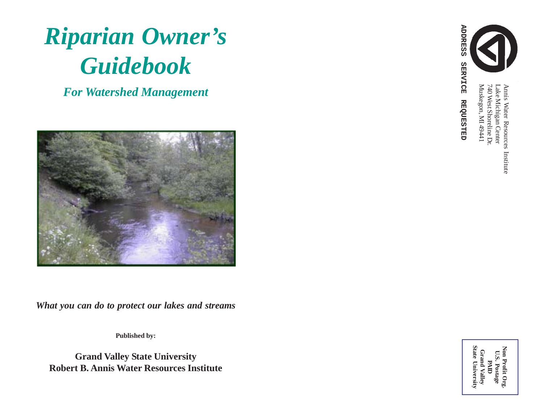

*For Watershed Management*



*What you can do to protect our lakes and streams*

**Published by:**

**Grand Valley State University Robert B. Annis Water Resources Institute**



**ADDRESS SERVICE REQUESTED**

**REQUESTED** 

**ADDRESS** 

Muskegon, MI 49441 Muskegon, MI 49441 740 West Shoreline Dr. 740 West Shoreline Dr. Lake Michigan Center Annis Water Resources InstituteLake Michigan Center Annis Water Resources Institute

**Grand Valley**<br>State University Non Profit Org.<br>U.S. Postage **State University Non Profit Org. Grand Valley U.S. Postage PAID**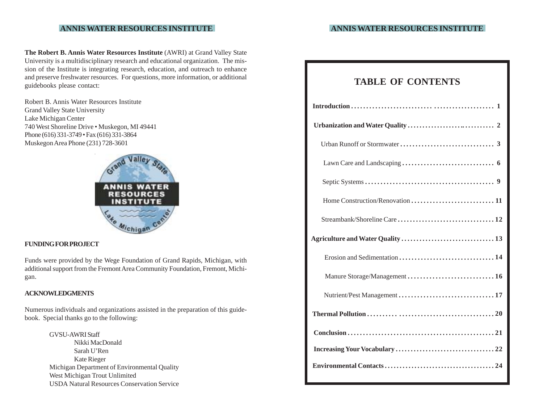**The Robert B. Annis Water Resources Institute** (AWRI) at Grand Valley State University is a multidisciplinary research and educational organization. The mission of the Institute is integrating research, education, and outreach to enhance and preserve freshwater resources. For questions, more information, or additional guidebooks please contact:

Robert B. Annis Water Resources Institute Grand Valley State University Lake Michigan Center 740 West Shoreline Drive • Muskegon, MI 49441 Phone (616) 331-3749 • Fax (616) 331-3864 Muskegon Area Phone (231) 728-3601



### **FUNDING FOR PROJECT**

Funds were provided by the Wege Foundation of Grand Rapids, Michigan, with additional support from the Fremont Area Community Foundation, Fremont, Michigan.

### **ACKNOWLEDGMENTS**

Numerous individuals and organizations assisted in the preparation of this guidebook. Special thanks go to the following:

> GVSU-AWRI Staff Nikki MacDonald Sarah U'Ren Kate Rieger Michigan Department of Environmental Quality West Michigan Trout Unlimited USDA Natural Resources Conservation Service

|  |  | <b>TABLE OF CONTENTS</b> |
|--|--|--------------------------|
|--|--|--------------------------|

| Manure Storage/Management 16 |
|------------------------------|
| Nutrient/Pest Management  17 |
|                              |
|                              |
|                              |
|                              |
|                              |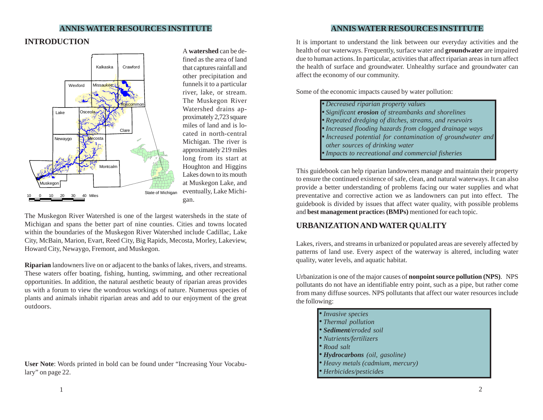# **INTRODUCTION**



A **watershed** can be defined as the area of land that captures rainfall and other precipitation and funnels it to a particular river, lake, or stream. The Muskegon River Watershed drains approximately 2,723 square miles of land and is located in north-central Michigan. The river is approximately 219 miles long from its start at Houghton and Higgins Lakes down to its mouth at Muskegon Lake, and eventually, Lake Michigan.

The Muskegon River Watershed is one of the largest watersheds in the state of Michigan and spans the better part of nine counties. Cities and towns located within the boundaries of the Muskegon River Watershed include Cadillac, Lake City, McBain, Marion, Evart, Reed City, Big Rapids, Mecosta, Morley, Lakeview, Howard City, Newaygo, Fremont, and Muskegon.

**Riparian** landowners live on or adjacent to the banks of lakes, rivers, and streams. These waters offer boating, fishing, hunting, swimming, and other recreational opportunities. In addition, the natural aesthetic beauty of riparian areas provides us with a forum to view the wondrous workings of nature. Numerous species of plants and animals inhabit riparian areas and add to our enjoyment of the great outdoors.

**User Note**: Words printed in bold can be found under "Increasing Your Vocabulary" on page 22.

It is important to understand the link between our everyday activities and the health of our waterways. Frequently, surface water and **groundwater** are impaired due to human actions. In particular, activities that affect riparian areas in turn affect the health of surface and groundwater. Unhealthy surface and groundwater can affect the economy of our community.

Some of the economic impacts caused by water pollution:

| • Decreased riparian property values                       |
|------------------------------------------------------------|
| • Significant <b>erosion</b> of streambanks and shorelines |
| • Repeated dredging of ditches, streams, and resevoirs     |
| • Increased flooding hazards from clogged drainage ways    |
| • Increased potential for contamination of groundwater and |
| other sources of drinking water                            |
| • Impacts to recreational and commercial fisheries         |

This guidebook can help riparian landowners manage and maintain their property to ensure the continued existence of safe, clean, and natural waterways. It can also provide a better understanding of problems facing our water supplies and what preventative and corrective action we as landowners can put into effect. The guidebook is divided by issues that affect water quality, with possible problems and **best management practice**s **(BMPs)** mentioned for each topic.

## **URBANIZATION AND WATER QUALITY**

Lakes, rivers, and streams in urbanized or populated areas are severely affected by patterns of land use. Every aspect of the waterway is altered, including water quality, water levels, and aquatic habitat.

Urbanization is one of the major causes of **nonpoint source pollution (NPS)**. NPS pollutants do not have an identifiable entry point, such as a pipe, but rather come from many diffuse sources. NPS pollutants that affect our water resources include the following:

| · Invasive species                |
|-----------------------------------|
| • Thermal pollution               |
| · Sediment/eroded soil            |
| • Nutrients/fertilizers           |
| $\bullet$ Road salt               |
| • Hydrocarbons (oil, gasoline)    |
| · Heavy metals (cadmium, mercury) |
| • Herbicides/pesticides           |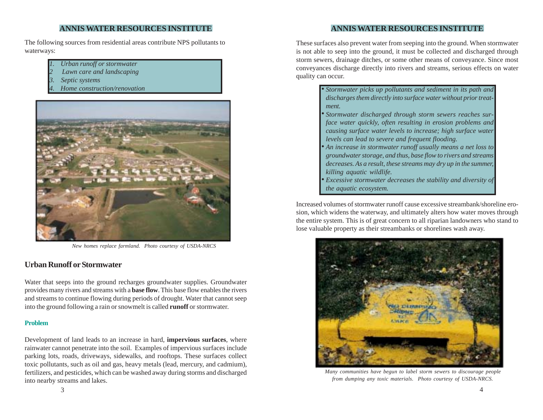The following sources from residential areas contribute NPS pollutants to waterways:

- *1. Urban runoff or stormwater*
- *2 Lawn care and landscaping*
- *3. Septic systems*
- *4. Home construction/renovation*



 *New homes replace farmland. Photo courtesy of USDA-NRCS*

## **Urban Runoff or Stormwater**

Water that seeps into the ground recharges groundwater supplies. Groundwater provides many rivers and streams with a **base flow**. This base flow enables the rivers and streams to continue flowing during periods of drought. Water that cannot seep into the ground following a rain or snowmelt is called **runoff** or stormwater.

## **Problem**

Development of land leads to an increase in hard, **impervious surfaces**, where rainwater cannot penetrate into the soil. Examples of impervious surfaces include parking lots, roads, driveways, sidewalks, and rooftops. These surfaces collect toxic pollutants, such as oil and gas, heavy metals (lead, mercury, and cadmium), fertilizers, and pesticides, which can be washed away during storms and discharged into nearby streams and lakes.

**ANNIS WATER RESOURCES INSTITUTE**

These surfaces also prevent water from seeping into the ground. When stormwater is not able to seep into the ground, it must be collected and discharged through storm sewers, drainage ditches, or some other means of conveyance. Since most conveyances discharge directly into rivers and streams, serious effects on water quality can occur.

| • Stormwater picks up pollutants and sediment in its path and           |
|-------------------------------------------------------------------------|
| discharges them directly into surface water without prior treat-        |
| ment.                                                                   |
| • Stormwater discharged through storm sewers reaches sur-               |
| face water quickly, often resulting in erosion problems and             |
| causing surface water levels to increase; high surface water            |
| levels can lead to severe and frequent flooding.                        |
| • An increase in stormwater runoff usually means a net loss to          |
| groundwater storage, and thus, base flow to rivers and streams          |
| decreases. As a result, these streams may dry up in the summer,         |
| killing aquatic wildlife.                                               |
| $\bullet$ Excessive stormwater decreases the stability and diversity of |
| the aquatic ecosystem.                                                  |

Increased volumes of stormwater runoff cause excessive streambank/shoreline erosion, which widens the waterway, and ultimately alters how water moves through the entire system. This is of great concern to all riparian landowners who stand to lose valuable property as their streambanks or shorelines wash away.



*Many communities have begun to label storm sewers to discourage people from dumping any toxic materials. Photo courtesy of USDA-NRCS.*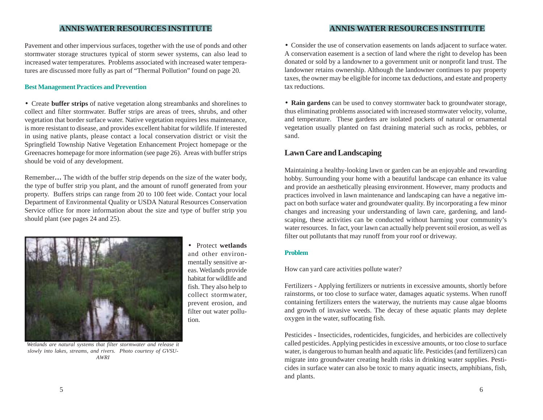Pavement and other impervious surfaces, together with the use of ponds and other stormwater storage structures typical of storm sewer systems, can also lead to increased water temperatures. Problems associated with increased water temperatures are discussed more fully as part of "Thermal Pollution" found on page 20*.*

#### **Best Management Practices and Prevention**

• Create **buffer strips** of native vegetation along streambanks and shorelines to collect and filter stormwater. Buffer strips are areas of trees, shrubs, and other vegetation that border surface water. Native vegetation requires less maintenance, is more resistant to disease, and provides excellent habitat for wildlife. If interested in using native plants, please contact a local conservation district or visit the Springfield Township Native Vegetation Enhancement Project homepage or the Greenacres homepage for more information (see page 26). Areas with buffer strips should be void of any development.

Remember**…** The width of the buffer strip depends on the size of the water body, the type of buffer strip you plant, and the amount of runoff generated from your property. Buffers strips can range from 20 to 100 feet wide. Contact your local Department of Environmental Quality or USDA Natural Resources Conservation Service office for more information about the size and type of buffer strip you should plant (see pages 24 and 25).



• Protect **wetlands** and other environmentally sensitive areas. Wetlands provide habitat for wildlife and fish. They also help to collect stormwater, prevent erosion, and filter out water pollution.

*Wetlands are natural systems that filter stormwater and release it slowly into lakes, streams, and rivers. Photo courtesy of GVSU-AWRI*

### **ANNIS WATER RESOURCES INSTITUTE ANNIS WATER RESOURCES INSTITUTE**

• Consider the use of conservation easements on lands adjacent to surface water. A conservation easement is a section of land where the right to develop has been donated or sold by a landowner to a government unit or nonprofit land trust. The landowner retains ownership. Although the landowner continues to pay property taxes, the owner may be eligible for income tax deductions, and estate and property tax reductions.

• **Rain gardens** can be used to convey stormwater back to groundwater storage, thus eliminating problems associated with increased stormwater velocity, volume, and temperature. These gardens are isolated pockets of natural or ornamental vegetation usually planted on fast draining material such as rocks, pebbles, or sand.

## **Lawn Care and Landscaping**

Maintaining a healthy-looking lawn or garden can be an enjoyable and rewarding hobby. Surrounding your home with a beautiful landscape can enhance its value and provide an aesthetically pleasing environment. However, many products and practices involved in lawn maintenance and landscaping can have a negative impact on both surface water and groundwater quality. By incorporating a few minor changes and increasing your understanding of lawn care, gardening, and landscaping, these activities can be conducted without harming your community's water resources. In fact, your lawn can actually help prevent soil erosion, as well as filter out pollutants that may runoff from your roof or driveway.

#### **Problem**

How can yard care activities pollute water?

Fertilizers **-** Applying fertilizers or nutrients in excessive amounts, shortly before rainstorms, or too close to surface water, damages aquatic systems. When runoff containing fertilizers enters the waterway, the nutrients may cause algae blooms and growth of invasive weeds. The decay of these aquatic plants may deplete oxygen in the water, suffocating fish.

Pesticides **-** Insecticides, rodenticides, fungicides, and herbicides are collectively called pesticides. Applying pesticides in excessive amounts, or too close to surface water, is dangerous to human health and aquatic life. Pesticides (and fertilizers) can migrate into groundwater creating health risks in drinking water supplies. Pesticides in surface water can also be toxic to many aquatic insects, amphibians, fish, and plants.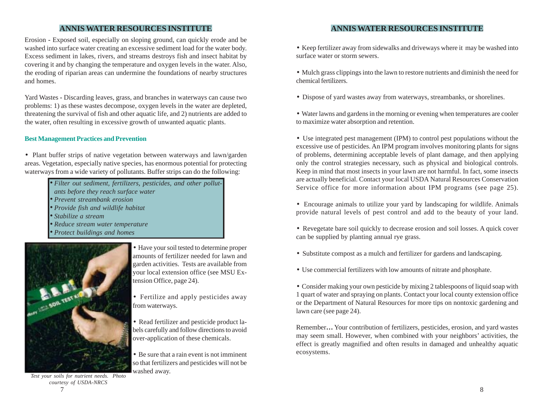Erosion **-** Exposed soil, especially on sloping ground, can quickly erode and be washed into surface water creating an excessive sediment load for the water body. Excess sediment in lakes, rivers, and streams destroys fish and insect habitat by covering it and by changing the temperature and oxygen levels in the water. Also, the eroding of riparian areas can undermine the foundations of nearby structures and homes.

Yard Wastes **-** Discarding leaves, grass, and branches in waterways can cause two problems: 1) as these wastes decompose, oxygen levels in the water are depleted, threatening the survival of fish and other aquatic life, and 2) nutrients are added to the water, often resulting in excessive growth of unwanted aquatic plants.

### **Best Management Practices and Prevention**

• Plant buffer strips of native vegetation between waterways and lawn/garden areas. Vegetation, especially native species, has enormous potential for protecting waterways from a wide variety of pollutants. Buffer strips can do the following:

- *Filter out sediment, fertilizers, pesticides, and other pollut-*•
- *ants before they reach surface water*
- *Prevent streambank erosion* •
- *Provide fish and wildlife habitat* •
- *Stabilize a stream* •
- *Reduce stream water temperature* •
- *Protect buildings and homes* •



 $7<sup>2</sup>$ *Test your soils for nutrient needs. Photo courtesy of USDA-NRCS*

• Have your soil tested to determine proper amounts of fertilizer needed for lawn and garden activities. Tests are available from your local extension office (see MSU Extension Office, page 24).

• Fertilize and apply pesticides away from waterways.

• Read fertilizer and pesticide product labels carefully and follow directions to avoid over-application of these chemicals.

• Be sure that a rain event is not imminent so that fertilizers and pesticides will not be washed away.

- Keep fertilizer away from sidewalks and driveways where it may be washed into surface water or storm sewers.
- Mulch grass clippings into the lawn to restore nutrients and diminish the need for chemical fertilizers.
- Dispose of yard wastes away from waterways, streambanks, or shorelines.
- Water lawns and gardens in the morning or evening when temperatures are cooler to maximize water absorption and retention.
- Use integrated pest management (IPM) to control pest populations without the excessive use of pesticides. An IPM program involves monitoring plants for signs of problems, determining acceptable levels of plant damage, and then applying only the control strategies necessary, such as physical and biological controls. Keep in mind that most insects in your lawn are not harmful. In fact, some insects are actually beneficial. Contact your local USDA Natural Resources Conservation Service office for more information about IPM programs (see page 25).
- Encourage animals to utilize your yard by landscaping for wildlife. Animals provide natural levels of pest control and add to the beauty of your land.
- Revegetate bare soil quickly to decrease erosion and soil losses. A quick cover can be supplied by planting annual rye grass.
- Substitute compost as a mulch and fertilizer for gardens and landscaping.
- Use commercial fertilizers with low amounts of nitrate and phosphate.
- Consider making your own pesticide by mixing 2 tablespoons of liquid soap with 1 quart of water and spraying on plants. Contact your local county extension office or the Department of Natural Resources for more tips on nontoxic gardening and lawn care (see page 24).

Remember**…** Your contribution of fertilizers, pesticides, erosion, and yard wastes may seem small. However, when combined with your neighbors' activities, the effect is greatly magnified and often results in damaged and unhealthy aquatic ecosystems.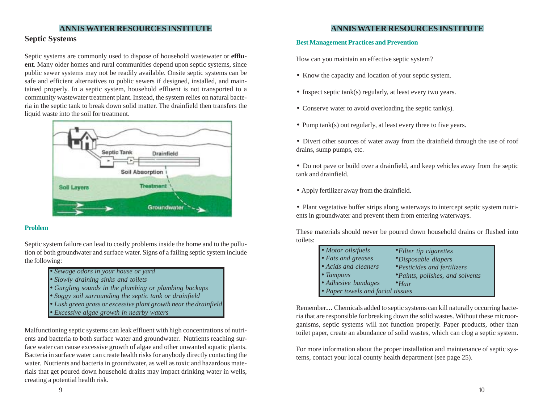## **Septic Systems**

Septic systems are commonly used to dispose of household wastewater or **effluent**. Many older homes and rural communities depend upon septic systems, since public sewer systems may not be readily available. Onsite septic systems can be safe and efficient alternatives to public sewers if designed, installed, and maintained properly. In a septic system, household effluent is not transported to a community wastewater treatment plant. Instead, the system relies on natural bacteria in the septic tank to break down solid matter. The drainfield then transfers the liquid waste into the soil for treatment.



### **Problem**

Septic system failure can lead to costly problems inside the home and to the pollution of both groundwater and surface water. Signs of a failing septic system include the following:

- *Sewage odors in your house or yard*
- *Slowly draining sinks and toilets*
- *Gurgling sounds in the plumbing or plumbing backups*
- *Soggy soil surrounding the septic tank or drainfield*
- *Lush green grass or excessive plant growth near the drainfield*
- *Excessive algae growth in nearby waters*

Malfunctioning septic systems can leak effluent with high concentrations of nutrients and bacteria to both surface water and groundwater. Nutrients reaching surface water can cause excessive growth of algae and other unwanted aquatic plants. Bacteria in surface water can create health risks for anybody directly contacting the water. Nutrients and bacteria in groundwater, as well as toxic and hazardous materials that get poured down household drains may impact drinking water in wells, creating a potential health risk.

## **ANNIS WATER RESOURCES INSTITUTE ANNIS WATER RESOURCES INSTITUTE**

### **Best Management Practices and Prevention**

How can you maintain an effective septic system?

- Know the capacity and location of your septic system.
- Inspect septic tank(s) regularly, at least every two years.
- Conserve water to avoid overloading the septic tank(s).
- Pump tank(s) out regularly, at least every three to five years.
- Divert other sources of water away from the drainfield through the use of roof drains, sump pumps, etc.
- Do not pave or build over a drainfield, and keep vehicles away from the septic tank and drainfield.
- Apply fertilizer away from the drainfield.

• Plant vegetative buffer strips along waterways to intercept septic system nutrients in groundwater and prevent them from entering waterways.

These materials should never be poured down household drains or flushed into toilets:

| $\bullet$ Motor oils/fuels        | $\bullet$ Filter tip cigarettes     |
|-----------------------------------|-------------------------------------|
| $\bullet$ Fats and greases        | <i>•Disposable diapers</i>          |
| • Acids and cleaners              | <i>• Pesticides and fertilizers</i> |
| $\bullet$ Tampons                 | • Paints, polishes, and solvents    |
| $\bullet$ Adhesive bandages       | $\bullet$ Hair                      |
| • Paper towels and facial tissues |                                     |

Remember**…** Chemicals added to septic systems can kill naturally occurring bacteria that are responsible for breaking down the solid wastes. Without these microorganisms, septic systems will not function properly. Paper products, other than toilet paper, create an abundance of solid wastes, which can clog a septic system.

For more information about the proper installation and maintenance of septic systems, contact your local county health department (see page 25).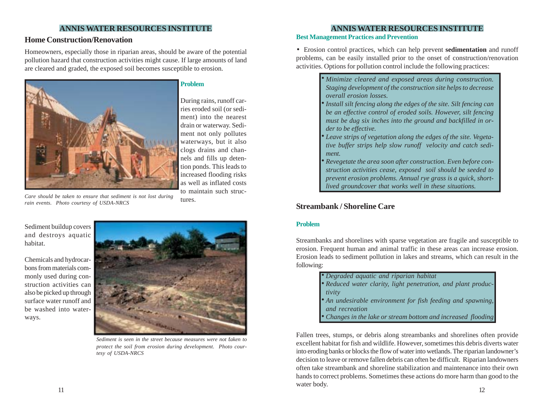## **Home Construction/Renovation**

Homeowners, especially those in riparian areas, should be aware of the potential pollution hazard that construction activities might cause. If large amounts of land are cleared and graded, the exposed soil becomes susceptible to erosion.



### **Problem**

During rains, runoff carries eroded soil (or sediment) into the nearest drain or waterway. Sediment not only pollutes waterways, but it also clogs drains and channels and fills up detention ponds. This leads to increased flooding risks as well as inflated costs to maintain such structures.

*Care should be taken to ensure that sediment is not lost during rain events. Photo courtesy of USDA-NRCS*

Sediment buildup covers and destroys aquatic habitat.

Chemicals and hydrocarbons from materials commonly used during construction activities can also be picked up through surface water runoff and be washed into waterways.



*Sediment is seen in the street because measures were not taken to protect the soil from erosion during development. Photo courtesy of USDA-NRCS*

### **Best Management Practices and Prevention**

•Erosion control practices, which can help prevent **sedimentation** and runoff problems, can be easily installed prior to the onset of construction/renovation activities. Options for pollution control include the following practices:

> *Minimize cleared and exposed areas during construction.* • *Staging development of the construction site helps to decrease overall erosion losses. Install silt fencing along the edges of the site. Silt fencing can* • *be an effective control of eroded soils. However, silt fencing must be dug six inches into the ground and backfilled in order to be effective. Leave strips of vegetation along the edges of the site. Vegeta-*• *tive buffer strips help slow runoff velocity and catch sediment. Revegetate the area soon after construction. Even before construction activities cease, exposed soil should be seeded to* •

*prevent erosion problems. Annual rye grass is a quick, shortlived groundcover that works well in these situations.*

## **Streambank / Shoreline Care**

### **Problem**

Streambanks and shorelines with sparse vegetation are fragile and susceptible to erosion. Frequent human and animal traffic in these areas can increase erosion. Erosion leads to sediment pollution in lakes and streams, which can result in the following:

| • Degraded aquatic and riparian habitat                       |
|---------------------------------------------------------------|
| · Reduced water clarity, light penetration, and plant produc- |
| tivity                                                        |
| • An undesirable environment for fish feeding and spawning,   |
| and recreation                                                |
| • Changes in the lake or stream bottom and increased flooding |

 $11$  12 Fallen trees, stumps, or debris along streambanks and shorelines often provide excellent habitat for fish and wildlife. However, sometimes this debris diverts water into eroding banks or blocks the flow of water into wetlands. The riparian landowner's decision to leave or remove fallen debris can often be difficult. Riparian landowners often take streambank and shoreline stabilization and maintenance into their own hands to correct problems. Sometimes these actions do more harm than good to the water body.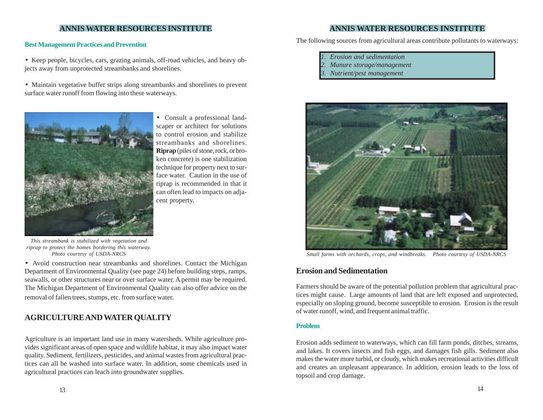• Keep people, bicycles, cars, grazing animals, off-road vehicles, and heavy objects away from unprotected streambanks and shorelines.

• Maintain vegetative buffer strips along streambanks and shorelines to prevent surface water runoff from flowing into these waterways.



• Consult a professional landscaper or architect for solutions to control erosion and stabilize streambanks and shorelines. **Riprap** (piles of stone, rock, or broken concrete) is one stabilization technique for property next to surface water. Caution in the use of riprap is recommended in that it can often lead to impacts on adjacent property.

*This streambank is stabilized with vegetation and riprap to protect the homes bordering this waterway.*

• Avoid construction near streambanks and shorelines. Contact the Michigan Department of Environmental Quality (see page 24) before building steps, ramps, seawalls, or other structures near or over surface water. A permit may be required. The Michigan Department of Environmental Quality can also offer advice on the removal of fallen trees, stumps, etc. from surface water.

## **AGRICULTURE AND WATER QUALITY**

Agriculture is an important land use in many watersheds. While agriculture provides significant areas of open space and wildlife habitat, it may also impact water quality. Sediment, fertilizers, pesticides, and animal wastes from agricultural practices can all be washed into surface water. In addition, some chemicals used in agricultural practices can leach into groundwater supplies.

## **ANNIS WATER RESOURCES INSTITUTE ANNIS WATER RESOURCES INSTITUTE**

The following sources from agricultural areas contribute pollutants to waterways: **Best Management Practices and Prevention**

- *1. Erosion and sedimentation*
- *2. Manure storage/management*
- *3. Nutrient/pest management*



*Photo courtesy of USDA-NRCS Small farms with orchards, crops, and windbreaks. Photo courtesy of USDA-NRCS*

## **Erosion and Sedimentation**

Farmers should be aware of the potential pollution problem that agricultural practices might cause. Large amounts of land that are left exposed and unprotected, especially on sloping ground, become susceptible to erosion. Erosion is the result of water runoff, wind, and frequent animal traffic.

### **Problem**

Erosion adds sediment to waterways, which can fill farm ponds, ditches, streams, and lakes. It covers insects and fish eggs, and damages fish gills. Sediment also makes the water more turbid, or cloudy, which makes recreational activities difficult and creates an unpleasant appearance. In addition, erosion leads to the loss of topsoil and crop damage.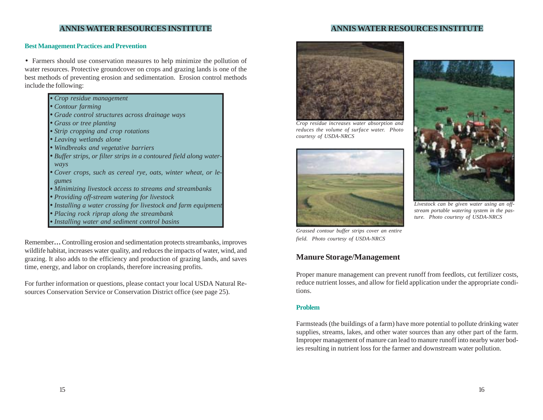#### **Best Management Practices and Prevention**

• Farmers should use conservation measures to help minimize the pollution of water resources. Protective groundcover on crops and grazing lands is one of the best methods of preventing erosion and sedimentation. Erosion control methods include the following:

- *Crop residue management* •
- *Contour farming* •
- *Grade control structures across drainage ways* •
- *Grass or tree planting* •
- *Strip cropping and crop rotations* •
- *Leaving wetlands alone* •
- *Windbreaks and vegetative barriers* •
- *Buffer strips, or filter strips in a contoured field along water- ways*
- *Cover crops, such as cereal rye, oats, winter wheat, or le- gumes*
- *Minimizing livestock access to streams and streambanks* •
- *Providing off-stream watering for livestock* •
- *Installing a water crossing for livestock and farm equipment* •
- *Placing rock riprap along the streambank* •
- *Installing water and sediment control basins* •

Remember**…** Controlling erosion and sedimentation protects streambanks, improves wildlife habitat, increases water quality, and reduces the impacts of water, wind, and grazing. It also adds to the efficiency and production of grazing lands, and saves time, energy, and labor on croplands, therefore increasing profits.

For further information or questions, please contact your local USDA Natural Resources Conservation Service or Conservation District office (see page 25).



*Crop residue increases water absorption and reduces the volume of surface water. Photo courtesy of USDA-NRCS*





*Livestock can be given water using an offstream portable watering system in the pasture. Photo courtesy of USDA-NRCS*

*Grassed contour buffer strips cover an entire field. Photo courtesy of USDA-NRCS*

## **Manure Storage/Management**

Proper manure management can prevent runoff from feedlots, cut fertilizer costs, reduce nutrient losses, and allow for field application under the appropriate conditions.

#### **Problem**

Farmsteads (the buildings of a farm) have more potential to pollute drinking water supplies, streams, lakes, and other water sources than any other part of the farm. Improper management of manure can lead to manure runoff into nearby water bodies resulting in nutrient loss for the farmer and downstream water pollution.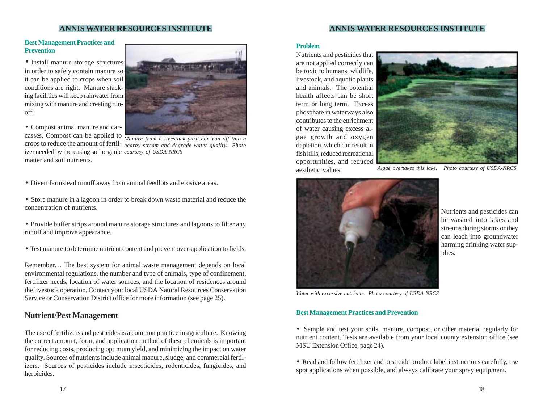## **ANNIS WATER RESOURCES INSTITUTE**

### **Best Management Practices and Prevention**

• Install manure storage structures in order to safely contain manure so it can be applied to crops when soil conditions are right. Manure stacking facilities will keep rainwater from mixing with manure and creating runoff.

• Compost animal manure and carcasses. Compost can be applied to matter and soil nutrients.



crops to reduce the amount of fertil-*nearby stream and degrade water quality. Photo* izer needed by increasing soil organic *courtesy of USDA-NRCS Manure from a livestock yard can run off into a*

- Divert farmstead runoff away from animal feedlots and erosive areas.
- Store manure in a lagoon in order to break down waste material and reduce the concentration of nutrients.
- Provide buffer strips around manure storage structures and lagoons to filter any runoff and improve appearance.
- Test manure to determine nutrient content and prevent over-application to fields.

Remember… The best system for animal waste management depends on local environmental regulations, the number and type of animals, type of confinement, fertilizer needs, location of water sources, and the location of residences around the livestock operation. Contact your local USDA Natural Resources Conservation Service or Conservation District office for more information (see page 25).

## **Nutrient/Pest Management**

The use of fertilizers and pesticides is a common practice in agriculture. Knowing the correct amount, form, and application method of these chemicals is important for reducing costs, producing optimum yield, and minimizing the impact on water quality. Sources of nutrients include animal manure, sludge, and commercial fertilizers. Sources of pesticides include insecticides, rodenticides, fungicides, and herbicides.

#### **Problem**

Nutrients and pesticides that are not applied correctly can be toxic to humans, wildlife, livestock, and aquatic plants and animals. The potential health affects can be short term or long term. Excess phosphate in waterways also contributes to the enrichment of water causing excess algae growth and oxygen depletion, which can result in fish kills, reduced recreational opportunities, and reduced aesthetic values.



*Algae overtakes this lake. Photo courtesy of USDA-NRCS*



Nutrients and pesticides can be washed into lakes and streams during storms or they can leach into groundwater harming drinking water supplies.

*Water with excessive nutrients. Photo courtesy of USDA-NRCS*

#### **Best Management Practices and Prevention**

• Sample and test your soils, manure, compost, or other material regularly for nutrient content. Tests are available from your local county extension office (see MSU Extension Office, page 24).

• Read and follow fertilizer and pesticide product label instructions carefully, use spot applications when possible, and always calibrate your spray equipment.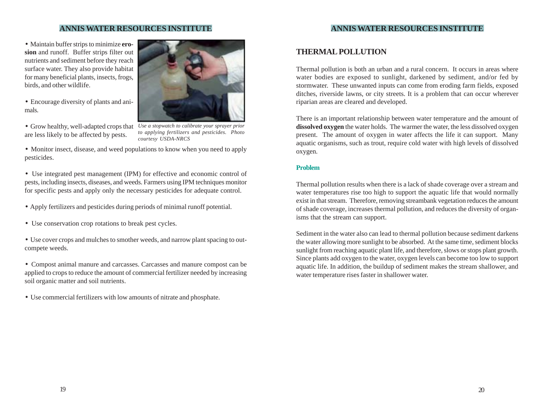• Maintain buffer strips to minimize **erosion** and runoff. Buffer strips filter out nutrients and sediment before they reach surface water. They also provide habitat for many beneficial plants, insects, frogs, birds, and other wildlife.

- Encourage diversity of plants and animals.
- *Use a stopwatch to calibrate your sprayer prior* Grow healthy, well-adapted crops that are less likely to be affected by pests.



*to applying fertilizers and pesticides. Photo courtesy USDA-NRCS*

• Monitor insect, disease, and weed populations to know when you need to apply pesticides.

• Use integrated pest management (IPM) for effective and economic control of pests, including insects, diseases, and weeds. Farmers using IPM techniques monitor for specific pests and apply only the necessary pesticides for adequate control.

- Apply fertilizers and pesticides during periods of minimal runoff potential.
- Use conservation crop rotations to break pest cycles.
- Use cover crops and mulches to smother weeds, and narrow plant spacing to outcompete weeds.
- Compost animal manure and carcasses. Carcasses and manure compost can be applied to crops to reduce the amount of commercial fertilizer needed by increasing soil organic matter and soil nutrients.
- Use commercial fertilizers with low amounts of nitrate and phosphate.

## **THERMAL POLLUTION**

Thermal pollution is both an urban and a rural concern. It occurs in areas where water bodies are exposed to sunlight, darkened by sediment, and/or fed by stormwater. These unwanted inputs can come from eroding farm fields, exposed ditches, riverside lawns, or city streets. It is a problem that can occur wherever riparian areas are cleared and developed.

There is an important relationship between water temperature and the amount of **dissolved oxygen** the water holds. The warmer the water, the less dissolved oxygen present. The amount of oxygen in water affects the life it can support. Many aquatic organisms, such as trout, require cold water with high levels of dissolved oxygen.

#### **Problem**

Thermal pollution results when there is a lack of shade coverage over a stream and water temperatures rise too high to support the aquatic life that would normally exist in that stream. Therefore, removing streambank vegetation reduces the amount of shade coverage, increases thermal pollution, and reduces the diversity of organisms that the stream can support.

Sediment in the water also can lead to thermal pollution because sediment darkens the water allowing more sunlight to be absorbed. At the same time, sediment blocks sunlight from reaching aquatic plant life, and therefore, slows or stops plant growth. Since plants add oxygen to the water, oxygen levels can become too low to support aquatic life. In addition, the buildup of sediment makes the stream shallower, and water temperature rises faster in shallower water.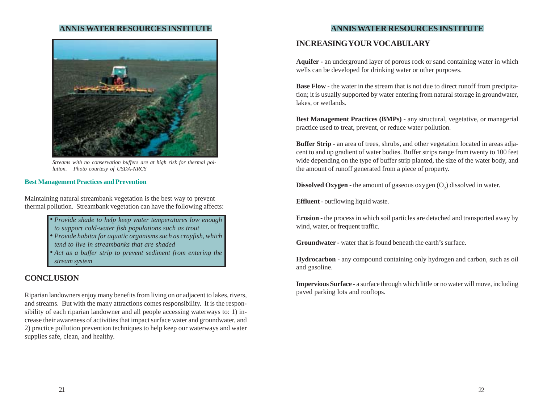

*Streams with no conservation buffers are at high risk for thermal pollution. Photo courtesy of USDA-NRCS*

#### **Best Management Practices and Prevention**

Maintaining natural streambank vegetation is the best way to prevent thermal pollution. Streambank vegetation can have the following affects:

> • *Provide shade to help keep water temperatures low enough* • *Provide habitat for aquatic organisms such as crayfish, which* • *Act as a buffer strip to prevent sediment from entering the to support cold-water fish populations such as trout tend to live in streambanks that are shaded*

## **CONCLUSION**

*stream system*

Riparian landowners enjoy many benefits from living on or adjacent to lakes, rivers, and streams. But with the many attractions comes responsibility. It is the responsibility of each riparian landowner and all people accessing waterways to: 1) increase their awareness of activities that impact surface water and groundwater, and 2) practice pollution prevention techniques to help keep our waterways and water supplies safe, clean, and healthy.

## **ANNIS WATER RESOURCES INSTITUTE ANNIS WATER RESOURCES INSTITUTE**

## **INCREASING YOUR VOCABULARY**

**Aquifer -** an underground layer of porous rock or sand containing water in which wells can be developed for drinking water or other purposes.

**Base Flow - the water in the stream that is not due to direct runoff from precipita**tion; it is usually supported by water entering from natural storage in groundwater, lakes, or wetlands.

**Best Management Practices (BMPs) -** any structural, vegetative, or managerial practice used to treat, prevent, or reduce water pollution.

**Buffer Strip - an area of trees, shrubs, and other vegetation located in areas adja**cent to and up gradient of water bodies. Buffer strips range from twenty to 100 feet wide depending on the type of buffer strip planted, the size of the water body, and the amount of runoff generated from a piece of property.

**Dissolved Oxygen -** the amount of gaseous oxygen (O<sub>2</sub>) dissolved in water.

**Effluent** - outflowing liquid waste.

**Erosion -** the process in which soil particles are detached and transported away by wind, water, or frequent traffic.

**Groundwater -** water that is found beneath the earth's surface.

**Hydrocarbon** - any compound containing only hydrogen and carbon, such as oil and gasoline.

**Impervious Surface** - a surface through which little or no water will move, including paved parking lots and rooftops.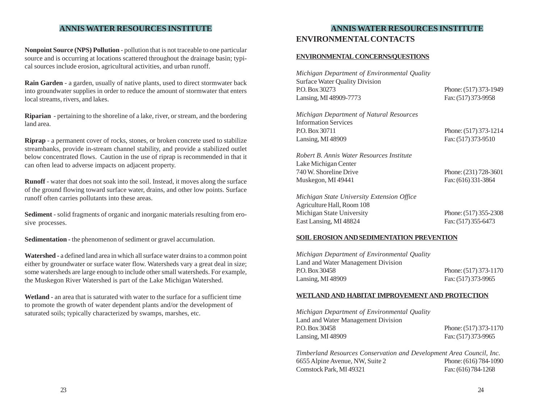**Nonpoint Source (NPS) Pollution** - pollution that is not traceable to one particular source and is occurring at locations scattered throughout the drainage basin; typical sources include erosion, agricultural activities, and urban runoff.

**Rain Garden** - a garden, usually of native plants, used to direct stormwater back into groundwater supplies in order to reduce the amount of stormwater that enters local streams, rivers, and lakes.

**Riparian** - pertaining to the shoreline of a lake, river, or stream, and the bordering land area.

**Riprap** - a permanent cover of rocks, stones, or broken concrete used to stabilize streambanks, provide in-stream channel stability, and provide a stabilized outlet below concentrated flows. Caution in the use of riprap is recommended in that it can often lead to adverse impacts on adjacent property.

**Runoff** - water that does not soak into the soil. Instead, it moves along the surface of the ground flowing toward surface water, drains, and other low points. Surface runoff often carries pollutants into these areas.

**Sediment** - solid fragments of organic and inorganic materials resulting from erosive processes.

**Sedimentation - the phenomenon of sediment or gravel accumulation.** 

**Watershed -** a defined land area in which all surface water drains to a common point either by groundwater or surface water flow. Watersheds vary a great deal in size; some watersheds are large enough to include other small watersheds. For example, the Muskegon River Watershed is part of the Lake Michigan Watershed.

**Wetland** - an area that is saturated with water to the surface for a sufficient time to promote the growth of water dependent plants and/or the development of saturated soils; typically characterized by swamps, marshes, etc.

## **ANNIS WATER RESOURCES INSTITUTE**

## **ENVIRONMENTAL CONTACTS**

### **ENVIRONMENTAL CONCERNS/QUESTIONS**

*Michigan Department of Environmental Quality* Surface Water Quality Division Phone: (517) 373-1949 Lansing, MI 48909-7773 Fax: (517) 373-9958

*Michigan Department of Natural Resources* Information Services Phone: (517) 373-1214 Lansing, MI 48909 Fax: (517) 373-9510

*Robert B. Annis Water Resources Institute* Lake Michigan Center 740 W. Shoreline Drive Phone: (231) 728-3601 Muskegon, MI 49441 Fax: (616) 331-3864

*Michigan State University Extension Office* Agriculture Hall, Room 108 Michigan State University Phone: (517) 355-2308 East Lansing, MI 48824 Fax: (517) 355-6473

### **SOIL EROSION AND SEDIMENTATION PREVENTION**

*Michigan Department of Environmental Quality* Land and Water Management Division Phone: (517) 373-1170 Lansing, MI 48909 Fax: (517) 373-9965

### **WETLAND AND HABITAT IMPROVEMENT AND PROTECTION**

*Michigan Department of Environmental Quality* Land and Water Management Division Phone: (517) 373-1170 Lansing, MI 48909 Fax: (517) 373-9965

*Timberland Resources Conservation and Development Area Council, Inc.* 6655 Alpine Avenue, NW, Suite 2 Phone: (616) 784-1090 Comstock Park, MI 49321 Fax: (616) 784-1268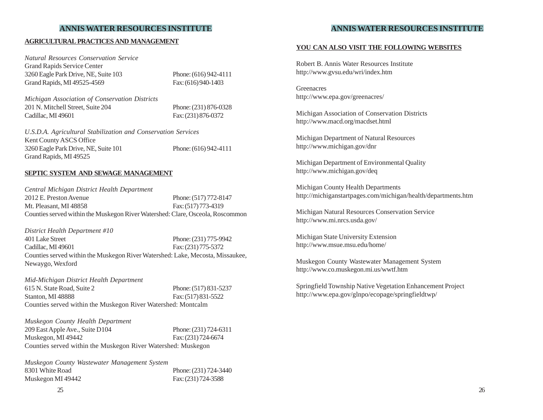#### **AGRICULTURAL PRACTICES AND MANAGEMENT**

*Natural Resources Conservation Service* Grand Rapids Service Center 3260 Eagle Park Drive, NE, Suite 103 Phone: (616) 942-4111 Grand Rapids, MI 49525-4569 Fax: (616) 940-1403

*Michigan Association of Conservation Districts* 201 N. Mitchell Street, Suite 204 Phone: (231) 876-0328 Cadillac, MI 49601 Fax: (231) 876-0372

*U.S.D.A. Agricultural Stabilization and Conservation Services* Kent County ASCS Office 3260 Eagle Park Drive, NE, Suite 101 Phone: (616) 942-4111 Grand Rapids, MI 49525

#### **SEPTIC SYSTEM AND SEWAGE MANAGEMENT**

*Central Michigan District Health Department* 2012 E. Preston Avenue Phone: (517) 772-8147 Mt. Pleasant, MI 48858 Fax: (517) 773-4319 Counties served within the Muskegon River Watershed: Clare, Osceola, Roscommon

*District Health Department #10* 401 Lake Street Phone: (231) 775-9942 Cadillac, MI 49601 Fax: (231) 775-5372 Counties served within the Muskegon River Watershed: Lake, Mecosta, Missaukee, Newaygo, Wexford

### *Mid-Michigan District Health Department* 615 N. State Road, Suite 2 Phone: (517) 831-5237 Stanton, MI 48888 Fax: (517) 831-5522 Counties served within the Muskegon River Watershed: Montcalm

| Muskegon County Health Department                             |                       |
|---------------------------------------------------------------|-----------------------|
| 209 East Apple Ave., Suite D104                               | Phone: (231) 724-6311 |
| Muskegon, MI 49442                                            | Fax: (231) 724-6674   |
| Counties served within the Muskegon River Watershed: Muskegon |                       |

*Muskegon County Wastewater Management System* 8301 White Road Phone: (231) 724-3440 Muskegon MI 49442 Fax: (231) 724-3588

## **ANNIS WATER RESOURCES INSTITUTE**

#### **YOU CAN ALSO VISIT THE FOLLOWING WEBSITES**

Robert B. Annis Water Resources Institute http://www.gvsu.edu/wri/index.htm

Greenacres http://www.epa.gov/greenacres/

Michigan Association of Conservation Districts http://www.macd.org/macdset.html

Michigan Department of Natural Resources http://www.michigan.gov/dnr

Michigan Department of Environmental Quality http://www.michigan.gov/deq

Michigan County Health Departments http://michiganstartpages.com/michigan/health/departments.htm

Michigan Natural Resources Conservation Service http://www.mi.nrcs.usda.gov/

Michigan State University Extension http://www.msue.msu.edu/home/

Muskegon County Wastewater Management System http://www.co.muskegon.mi.us/wwtf.htm

Springfield Township Native Vegetation Enhancement Project http://www.epa.gov/glnpo/ecopage/springfieldtwp/